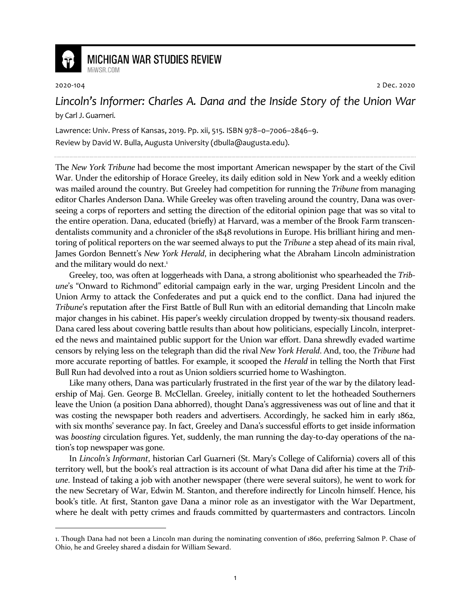

## **MICHIGAN WAR STUDIES REVIEW**

MiWSR COM

2020-104 2 Dec. 2020

## *Lincoln's Informer: Charles A. Dana and the Inside Story of the Union War* by Carl J. Guarneri.

Lawrence: Univ. Press of Kansas, 2019. Pp. xii, 515. ISBN 978–0–7006–2846–9. Review by David W. Bulla, Augusta University (dbulla@augusta.edu).

The *New York Tribune* had become the most important American newspaper by the start of the Civil War. Under the editorship of Horace Greeley, its daily edition sold in New York and a weekly edition was mailed around the country. But Greeley had competition for running the *Tribune* from managing editor Charles Anderson Dana. While Greeley was often traveling around the country, Dana was overseeing a corps of reporters and setting the direction of the editorial opinion page that was so vital to the entire operation. Dana, educated (briefly) at Harvard, was a member of the Brook Farm transcendentalists community and a chronicler of the 1848 revolutions in Europe. His brilliant hiring and mentoring of political reporters on the war seemed always to put the *Tribune* a step ahead of its main rival, James Gordon Bennett's *New York Herald*, in deciphering what the Abraham Lincoln administration and the military would do next.<sup>1</sup>

Greeley, too, was often at loggerheads with Dana, a strong abolitionist who spearheaded the *Tribune*'s "Onward to Richmond" editorial campaign early in the war, urging President Lincoln and the Union Army to attack the Confederates and put a quick end to the conflict. Dana had injured the *Tribune*'s reputation after the First Battle of Bull Run with an editorial demanding that Lincoln make major changes in his cabinet. His paper's weekly circulation dropped by twenty-six thousand readers. Dana cared less about covering battle results than about how politicians, especially Lincoln, interpreted the news and maintained public support for the Union war effort. Dana shrewdly evaded wartime censors by relying less on the telegraph than did the rival *New York Herald*. And, too, the *Tribune* had more accurate reporting of battles. For example, it scooped the *Herald* in telling the North that First Bull Run had devolved into a rout as Union soldiers scurried home to Washington.

Like many others, Dana was particularly frustrated in the first year of the war by the dilatory leadership of Maj. Gen. George B. McClellan. Greeley, initially content to let the hotheaded Southerners leave the Union (a position Dana abhorred), thought Dana's aggressiveness was out of line and that it was costing the newspaper both readers and advertisers. Accordingly, he sacked him in early 1862, with six months' severance pay. In fact, Greeley and Dana's successful efforts to get inside information was *boosting* circulation figures. Yet, suddenly, the man running the day-to-day operations of the nation's top newspaper was gone.

In *Lincoln's Informant*, historian Carl Guarneri (St. Mary's College of California) covers all of this territory well, but the book's real attraction is its account of what Dana did after his time at the *Tribune*. Instead of taking a job with another newspaper (there were several suitors), he went to work for the new Secretary of War, Edwin M. Stanton, and therefore indirectly for Lincoln himself. Hence, his book's title. At first, Stanton gave Dana a minor role as an investigator with the War Department, where he dealt with petty crimes and frauds committed by quartermasters and contractors. Lincoln

<sup>1.</sup> Though Dana had not been a Lincoln man during the nominating convention of 1860, preferring Salmon P. Chase of Ohio, he and Greeley shared a disdain for William Seward.